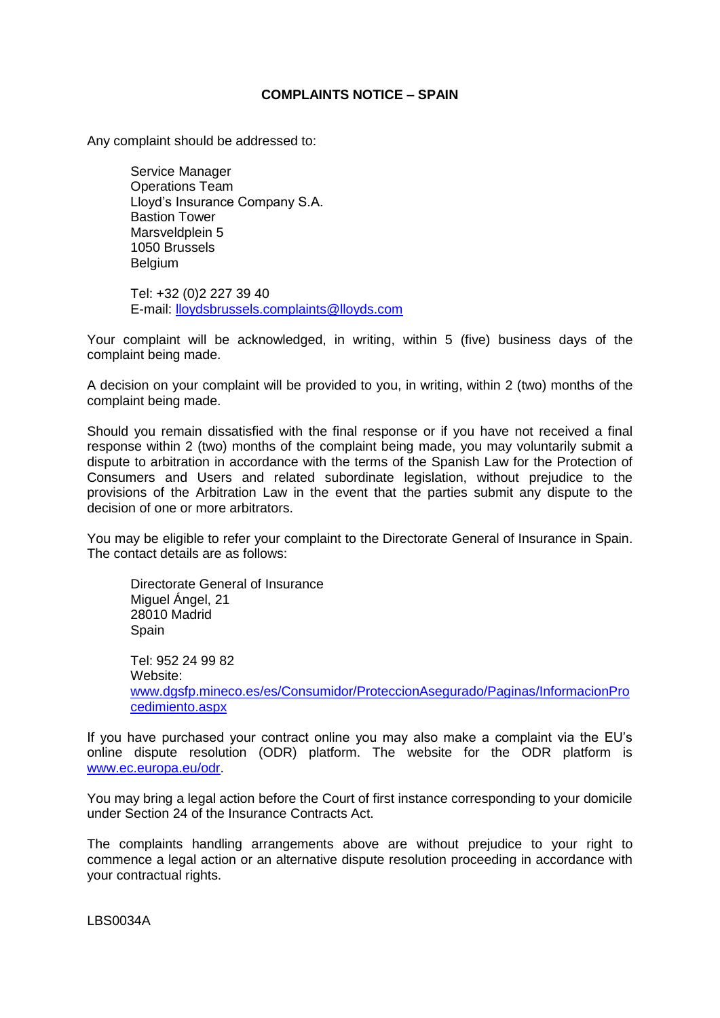## **COMPLAINTS NOTICE – SPAIN**

Any complaint should be addressed to:

Service Manager Operations Team Lloyd's Insurance Company S.A. Bastion Tower Marsveldplein 5 1050 Brussels Belgium

Tel: +32 (0)2 227 39 40 E-mail: lloydsbrussels.complaints@lloyds.com

Your complaint will be acknowledged, in writing, within 5 (five) business days of the complaint being made.

A decision on your complaint will be provided to you, in writing, within 2 (two) months of the complaint being made.

Should you remain dissatisfied with the final response or if you have not received a final response within 2 (two) months of the complaint being made, you may voluntarily submit a dispute to arbitration in accordance with the terms of the Spanish Law for the Protection of Consumers and Users and related subordinate legislation, without prejudice to the provisions of the Arbitration Law in the event that the parties submit any dispute to the decision of one or more arbitrators.

You may be eligible to refer your complaint to the Directorate General of Insurance in Spain. The contact details are as follows:

Directorate General of Insurance Miguel Ángel, 21 28010 Madrid **Spain** Tel: 952 24 99 82 Website: [www.dgsfp.mineco.es/es/Consumidor/ProteccionAsegurado/Paginas/InformacionPro](http://www.dgsfp.mineco.es/es/Consumidor/ProteccionAsegurado/Paginas/InformacionProcedimiento.aspx) [cedimiento.aspx](http://www.dgsfp.mineco.es/es/Consumidor/ProteccionAsegurado/Paginas/InformacionProcedimiento.aspx)

If you have purchased your contract online you may also make a complaint via the EU's online dispute resolution (ODR) platform. The website for the ODR platform is [www.ec.europa.eu/odr.](http://www.ec.europa.eu/odr)

You may bring a legal action before the Court of first instance corresponding to your domicile under Section 24 of the Insurance Contracts Act.

The complaints handling arrangements above are without prejudice to your right to commence a legal action or an alternative dispute resolution proceeding in accordance with your contractual rights.

LBS0034A